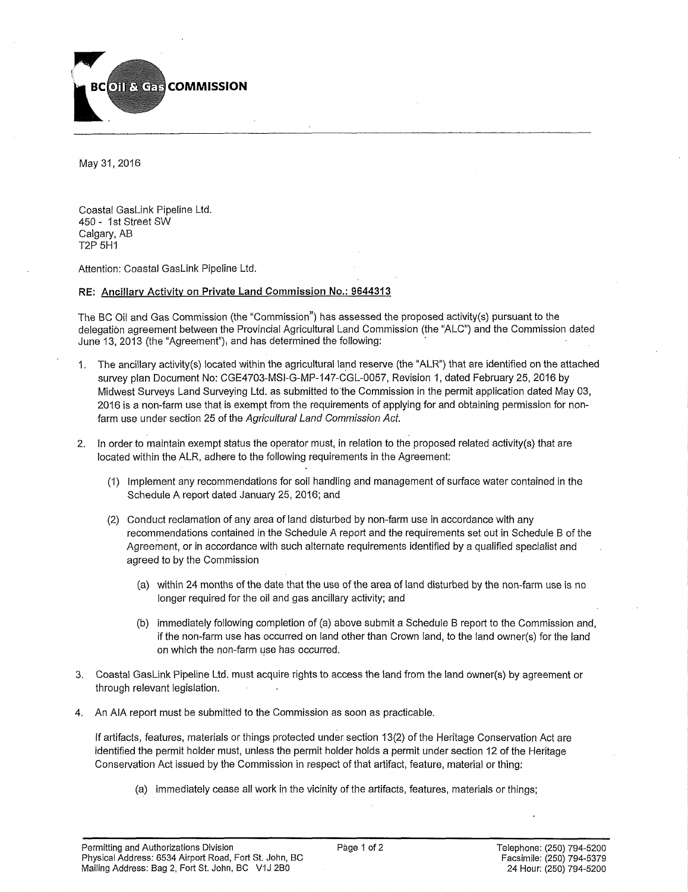

May 31,2016

Coastal GasLink Pipeline Ltd. 450- 1st Street SW Calgary, AB T2P 5H1

Attention: Coastal GasLink Pipeline Ltd.

## **RE: Ancillary Activity on Private Land Commission No.: 9644313**

The BC Oil and Gas Commission (the "Commission") has assessed the proposed activity(s) pursuant to the delegation agreement between the Provincial Agricultural Land Commission (the "ALC") and the Commission dated June 13, 2013 (the "Agreement"), and has determined the following:

- 1. The ancillary activity(s) located within the agricultural land reserve (the "ALR") that are identified on the attached survey plan Document No: CGE4703-MSI-G-MP-147-CGL-0057, Revision 1, dated February 25, 2016 by Midwest Surveys Land Surveying Ltd. as submitted to the Commission in the permit application dated May 03, 2016 is a non-farm use that is exempt from the requirements of applying for and obtaining permission for nonfarm use under section 25 of the *Agricultural Land Commission Act.*
- 2. In order to maintain exempt status the operator must, in relation to the proposed related activity(s) that are located within the ALR, adhere to the following requirements in the Agreement:
	- (1) Implement any recommendations for soil handling and management of surface water contained in the Schedule A report dated January 25, 2016; and
	- (2) Conduct reclamation of any area of land disturbed by non-farm use in accordance with any recommendations contained in the Schedule A report and the requirements set out in Schedule B of the Agreement, or in accordance with such alternate requirements identified by a qualified specialist and agreed to by the Commission
		- (a) within 24 months of the date that the use of the area of land disturbed by the non-farm use is no longer required for the oil and gas ancillary activity; and
		- (b) immediately following completion of (a) above submit a Schedule B report to the Commission and, if the non-farm use has occurred on land other than Crown land, to the land owner(s) for the land on which the non-farm use has occurred.
- 3. Coastal GasLink Pipeline Ltd. must acquire rights to access the land from the land owner(s) by agreement or through relevant legislation.
- 4. An AIA report must be submitted to the Commission as soon as practicable.

If artifacts, features, materials or things protected under section 13(2) of the Heritage Conservation Act are identified the permit holder must, unless the permit holder holds a permit under section 12 of the Heritage Conservation Act issued by the Commission in respect of that artifact, feature, material or thing:

(a) immediately cease all work in the vicinity of the artifacts, features, materials or things;